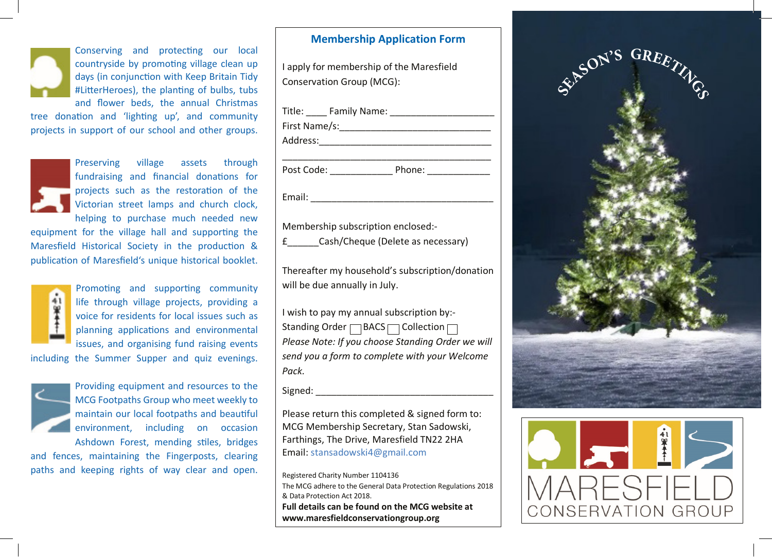days (in conjunction with Keep Britain days (in conjunction with Keep Britain Tidy #LitterHeroes), the planting of bulbs, tubs and flower beds, the annual Christmas Conserving and protecting our local countryside by promoting village clean up

tree donation and 'lighting up', and community projects in support of our school and other groups.

Preserving village assets through fundraising and financial donations for fundraising and financial donations for projects such as the restoration of the projects such as the restoration of the Victorian street lamps and church clock, Victorian street lamps and church clock, helping to purchase much needed new helping to purchase much needed new erving village assets through<br>raising and financial donations for<br>ects such as the restoration of the<br>prian street lamps and church clock,<br>ing to purchase much needed new<br>the village hall and supporting the<br>torical Society Preserving village assets through

equipment for the village hall and equipment for the village hall and supporting the supporting the Mares of Mares of the Mares of the Mares of the Mares of the Mares of the Mares of the Mares of the Mares of the Mares of the Mares of the Mares of the Mares of the Mares of the Mares of the Mares of the Mar Maresfield Historical Society in the production & publication of Maresfield's unique historical booklet.



Promoting and supporting community life through village projects, providing a voice for residents for local issues such as planning applications and environmental .<br>issues, and organising fund raising events for and organisms rand raisin  $\sum_{i=1}^{n} a_i$  is the contract raising fund raising  $\sum_{i=1}^{n} a_i$ 

summer supper and quiz evening including the Summer Supper and quiz including the Summer Supper and quiz evenings.



Providing equipment and resources to the environment, including on occasion  $\frac{1}{2}$   $\frac{1}{2}$   $\frac{1}{2}$   $\frac{1}{2}$   $\frac{1}{2}$   $\frac{1}{2}$   $\frac{1}{2}$   $\frac{1}{2}$   $\frac{1}{2}$   $\frac{1}{2}$   $\frac{1}{2}$   $\frac{1}{2}$   $\frac{1}{2}$   $\frac{1}{2}$   $\frac{1}{2}$   $\frac{1}{2}$   $\frac{1}{2}$   $\frac{1}{2}$   $\frac{1}{2}$   $\frac{1}{2}$   $\frac{1}{2}$   $\frac{1}{2}$  who MCG Footpaths Group who meet weekly to maintain our local footpaths and beautiful Ashdown Forest, mending stiles, bridges

wit rolest, inending stiles, bridge and fences, maintaining the Fingerposts, clearing paths and keeping rights of way clear and open.

#### **Membership Application Form Membership Application Form**

Conservation Group (MCG): I apply for membership of the Maresfield

Title: \_\_\_\_ Family Name: \_\_\_\_\_\_\_\_\_\_\_\_\_\_\_\_\_\_\_\_ First Name/s:\_\_\_\_\_\_\_\_\_\_\_\_\_\_\_\_\_\_\_\_\_\_\_\_\_\_\_\_\_ First Name/s:\_\_\_\_\_\_\_\_\_\_\_\_\_\_\_\_\_\_\_\_\_\_\_\_ Address:\_\_\_\_\_\_\_\_\_\_\_\_\_\_\_\_\_\_\_\_\_\_\_\_\_\_\_\_\_\_\_\_\_ Address:\_\_\_\_\_\_\_\_\_\_\_\_\_\_\_\_\_\_\_\_\_\_\_\_\_\_\_\_\_\_\_\_\_ Post Code: \_\_\_\_\_\_\_\_\_\_\_\_ Phone: \_\_\_\_\_\_\_\_\_\_\_\_ Post Code: \_\_\_\_\_\_\_\_\_\_\_\_ Phone: \_\_\_\_\_\_\_\_\_\_\_\_ Email: \_\_\_\_\_\_\_\_\_\_\_\_\_\_\_\_\_\_\_\_\_\_\_\_\_\_\_\_\_\_\_\_\_\_\_ Title: Family Name: **Example 1** \_\_\_\_\_\_\_\_\_\_\_\_\_\_\_\_\_\_\_\_\_\_\_\_\_\_\_\_\_\_\_\_\_\_\_\_\_\_\_\_ The MCG address:<br>
The Mame/s:<br>
Extra Name/s:<br>
The Mame/s:<br>
The Mame/sident and donation for<br>
The Mame/sident and Solutions Tore is<br>
traviang and financial donations for<br>
the village hall and supporting the<br>
the village ha

Membership subscription enclosed:- Membership subscription enclosed:-

£\_\_\_\_\_\_Cash/Cheque (Delete as necessary)

will be due annually in July. Thereafter my household's subscription/donation

Standing Order  $\Box$  BACS  $\Box$  Collection  $\Box$ Please Note: If you choose Standing Order we will *Please Note: If you choose Standing Order we will send you a form to complete with your Welcome send you a form in your Welcome Pack. Pack.* I wish to pay my annual subscription by:-

Signed:  $\Box$ 

Please return this completed & signed form to: MCG Membership Secretary, Stan Sadowski, Farthings, The Drive, Maresfield TN22 2HA Email: stansadowski4@gmail.com

Registered Charity Number 1104136 The MCG adhere to the General Data Protection Regulations 2018 **Full details can be found on the MCG website at** & Data Protection Act 2018. Full details can be found on the MCG website at **www.maresfieldconservationgroup.org**